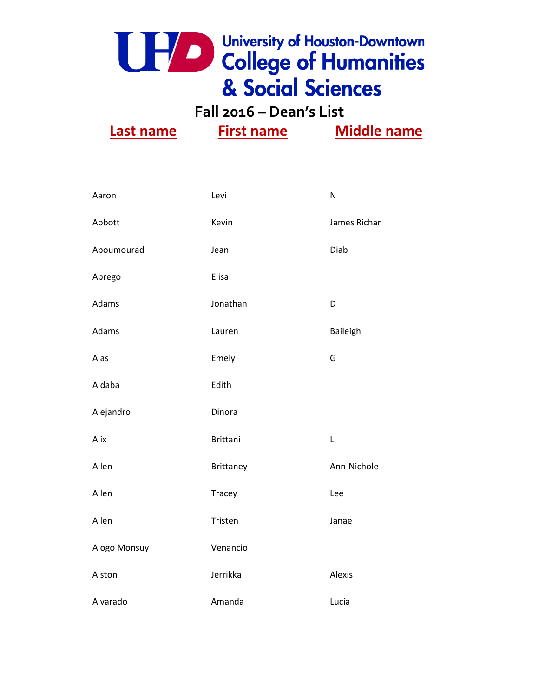

**Fall 2016 – Dean's List**

| Aaron        | Levi             | N            |
|--------------|------------------|--------------|
| Abbott       | Kevin            | James Richar |
| Aboumourad   | Jean             | Diab         |
| Abrego       | Elisa            |              |
| Adams        | Jonathan         | D            |
| Adams        | Lauren           | Baileigh     |
| Alas         | Emely            | G            |
| Aldaba       | Edith            |              |
| Alejandro    | Dinora           |              |
| Alix         | <b>Brittani</b>  | L            |
| Allen        | <b>Brittaney</b> | Ann-Nichole  |
| Allen        | <b>Tracey</b>    | Lee          |
| Allen        | Tristen          | Janae        |
| Alogo Monsuy | Venancio         |              |
| Alston       | Jerrikka         | Alexis       |
| Alvarado     | Amanda           | Lucia        |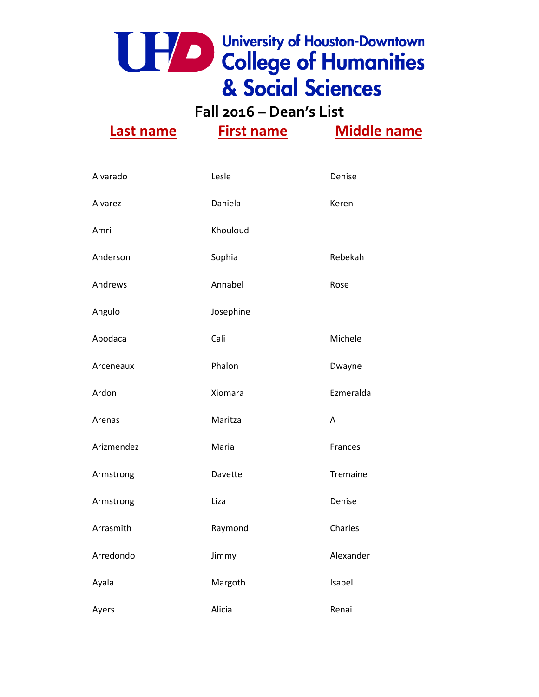**Fall 2016 – Dean's List**

| Alvarado   | Lesle     | Denise    |
|------------|-----------|-----------|
| Alvarez    | Daniela   | Keren     |
| Amri       | Khouloud  |           |
| Anderson   | Sophia    | Rebekah   |
| Andrews    | Annabel   | Rose      |
| Angulo     | Josephine |           |
| Apodaca    | Cali      | Michele   |
| Arceneaux  | Phalon    | Dwayne    |
| Ardon      | Xiomara   | Ezmeralda |
| Arenas     | Maritza   | A         |
| Arizmendez | Maria     | Frances   |
| Armstrong  | Davette   | Tremaine  |
| Armstrong  | Liza      | Denise    |
| Arrasmith  | Raymond   | Charles   |
| Arredondo  | Jimmy     | Alexander |
| Ayala      | Margoth   | Isabel    |
| Ayers      | Alicia    | Renai     |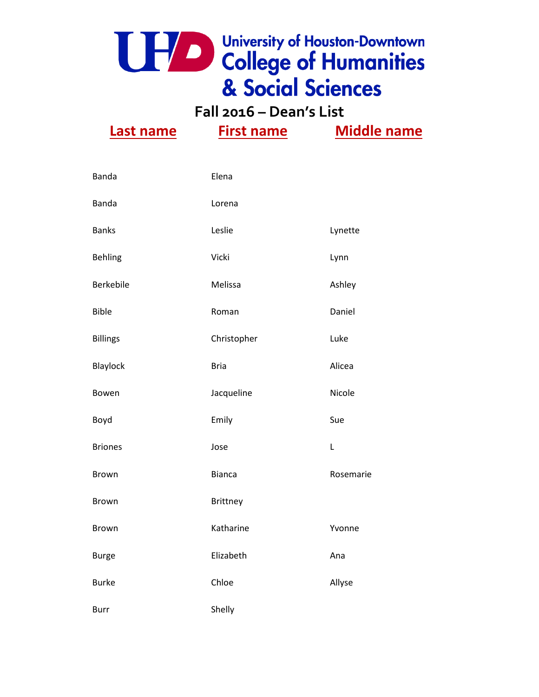

**Fall 2016 – Dean's List Last name First name Middle name**

| Banda           | Elena         |           |
|-----------------|---------------|-----------|
| <b>Banda</b>    | Lorena        |           |
| <b>Banks</b>    | Leslie        | Lynette   |
| <b>Behling</b>  | Vicki         | Lynn      |
| Berkebile       | Melissa       | Ashley    |
| <b>Bible</b>    | Roman         | Daniel    |
| <b>Billings</b> | Christopher   | Luke      |
| Blaylock        | <b>Bria</b>   | Alicea    |
| Bowen           | Jacqueline    | Nicole    |
| Boyd            | Emily         | Sue       |
| <b>Briones</b>  | Jose          | L         |
| Brown           | <b>Bianca</b> | Rosemarie |
| Brown           | Brittney      |           |
| <b>Brown</b>    | Katharine     | Yvonne    |
| <b>Burge</b>    | Elizabeth     | Ana       |
| <b>Burke</b>    | Chloe         | Allyse    |
| <b>Burr</b>     | Shelly        |           |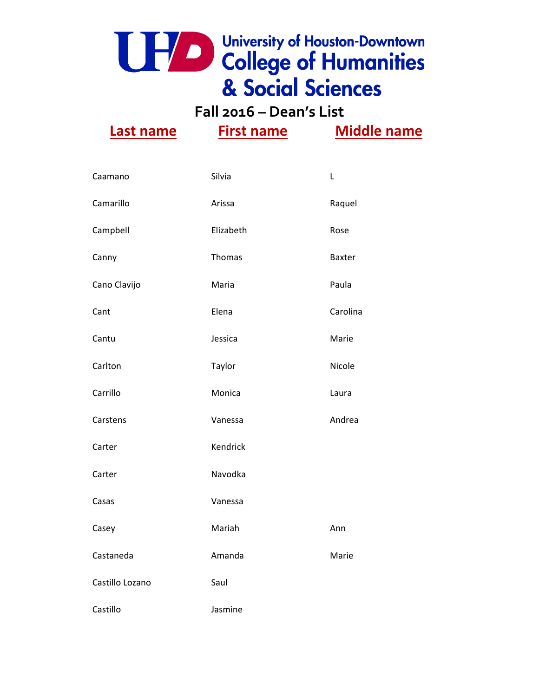**Fall 2016 – Dean's List**

| Caamano         | Silvia    | L             |
|-----------------|-----------|---------------|
| Camarillo       | Arissa    | Raquel        |
| Campbell        | Elizabeth | Rose          |
| Canny           | Thomas    | <b>Baxter</b> |
| Cano Clavijo    | Maria     | Paula         |
| Cant            | Elena     | Carolina      |
| Cantu           | Jessica   | Marie         |
| Carlton         | Taylor    | Nicole        |
| Carrillo        | Monica    | Laura         |
| Carstens        | Vanessa   | Andrea        |
| Carter          | Kendrick  |               |
| Carter          | Navodka   |               |
| Casas           | Vanessa   |               |
| Casey           | Mariah    | Ann           |
| Castaneda       | Amanda    | Marie         |
| Castillo Lozano | Saul      |               |
| Castillo        | Jasmine   |               |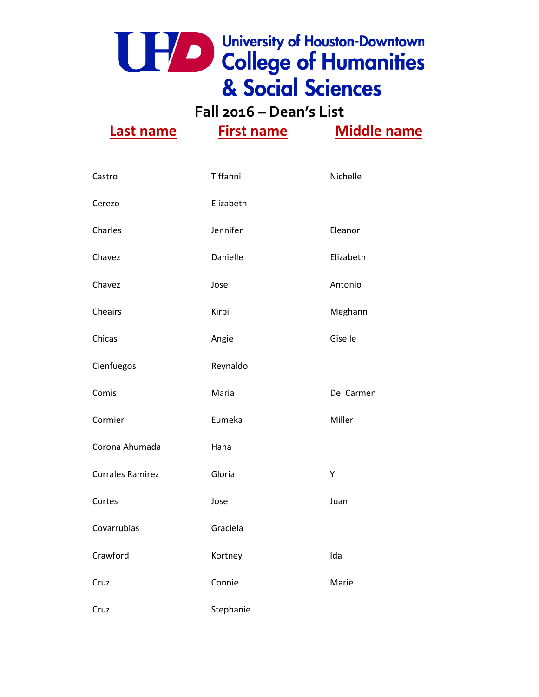**Fall 2016 – Dean's List**

| Castro                  | Tiffanni  | Nichelle   |
|-------------------------|-----------|------------|
| Cerezo                  | Elizabeth |            |
| Charles                 | Jennifer  | Eleanor    |
| Chavez                  | Danielle  | Elizabeth  |
| Chavez                  | Jose      | Antonio    |
| Cheairs                 | Kirbi     | Meghann    |
| Chicas                  | Angie     | Giselle    |
| Cienfuegos              | Reynaldo  |            |
| Comis                   | Maria     | Del Carmen |
| Cormier                 | Eumeka    | Miller     |
| Corona Ahumada          | Hana      |            |
| <b>Corrales Ramirez</b> | Gloria    | Υ          |
| Cortes                  | Jose      | Juan       |
| Covarrubias             | Graciela  |            |
| Crawford                | Kortney   | Ida        |
| Cruz                    | Connie    | Marie      |
| Cruz                    | Stephanie |            |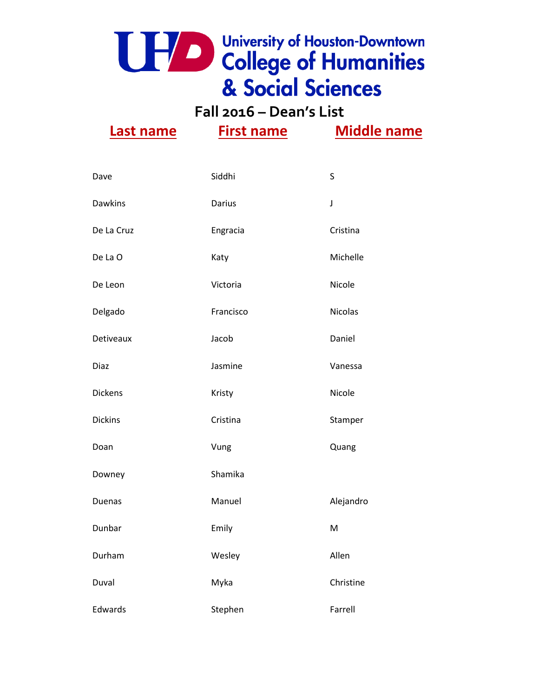**Fall 2016 – Dean's List**

| Dave           | Siddhi    | S              |
|----------------|-----------|----------------|
| <b>Dawkins</b> | Darius    | J              |
| De La Cruz     | Engracia  | Cristina       |
| De La O        | Katy      | Michelle       |
| De Leon        | Victoria  | Nicole         |
| Delgado        | Francisco | <b>Nicolas</b> |
| Detiveaux      | Jacob     | Daniel         |
| Diaz           | Jasmine   | Vanessa        |
| <b>Dickens</b> | Kristy    | Nicole         |
| <b>Dickins</b> | Cristina  | Stamper        |
| Doan           | Vung      | Quang          |
| Downey         | Shamika   |                |
| <b>Duenas</b>  | Manuel    | Alejandro      |
| Dunbar         | Emily     | M              |
| Durham         | Wesley    | Allen          |
| Duval          | Myka      | Christine      |
| Edwards        | Stephen   | Farrell        |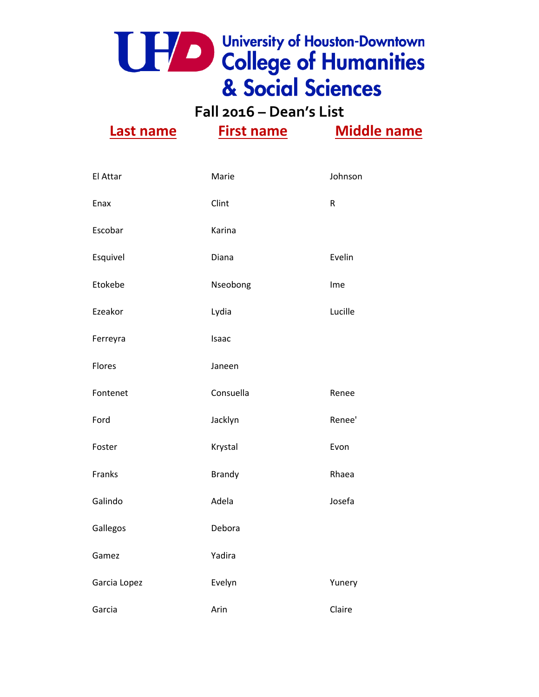**Fall 2016 – Dean's List**

| El Attar     | Marie         | Johnson   |
|--------------|---------------|-----------|
| Enax         | Clint         | ${\sf R}$ |
| Escobar      | Karina        |           |
| Esquivel     | Diana         | Evelin    |
| Etokebe      | Nseobong      | Ime       |
| Ezeakor      | Lydia         | Lucille   |
| Ferreyra     | Isaac         |           |
| Flores       | Janeen        |           |
| Fontenet     | Consuella     | Renee     |
| Ford         | Jacklyn       | Renee'    |
| Foster       | Krystal       | Evon      |
| Franks       | <b>Brandy</b> | Rhaea     |
| Galindo      | Adela         | Josefa    |
| Gallegos     | Debora        |           |
| Gamez        | Yadira        |           |
| Garcia Lopez | Evelyn        | Yunery    |
| Garcia       | Arin          | Claire    |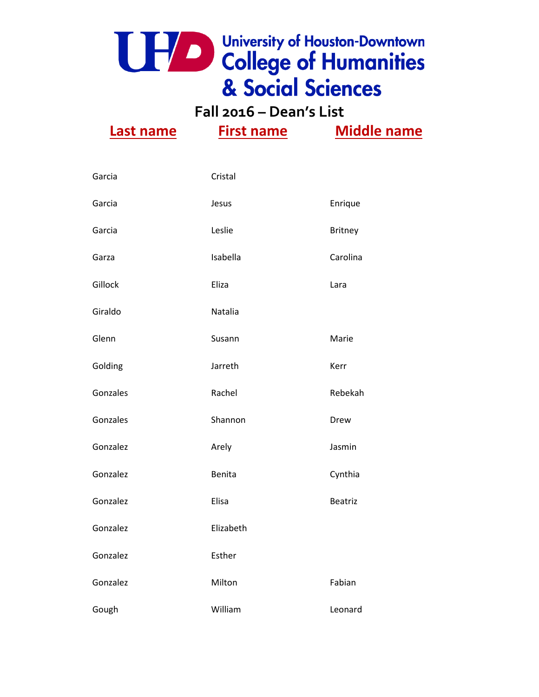**Fall 2016 – Dean's List Last name First name Middle name**

| Garcia   | Cristal       |                |
|----------|---------------|----------------|
| Garcia   | Jesus         | Enrique        |
| Garcia   | Leslie        | <b>Britney</b> |
| Garza    | Isabella      | Carolina       |
| Gillock  | Eliza         | Lara           |
| Giraldo  | Natalia       |                |
| Glenn    | Susann        | Marie          |
| Golding  | Jarreth       | Kerr           |
| Gonzales | Rachel        | Rebekah        |
| Gonzales | Shannon       | Drew           |
| Gonzalez | Arely         | Jasmin         |
| Gonzalez | <b>Benita</b> | Cynthia        |
| Gonzalez | Elisa         | <b>Beatriz</b> |
| Gonzalez | Elizabeth     |                |
| Gonzalez | Esther        |                |
| Gonzalez | Milton        | Fabian         |
| Gough    | William       | Leonard        |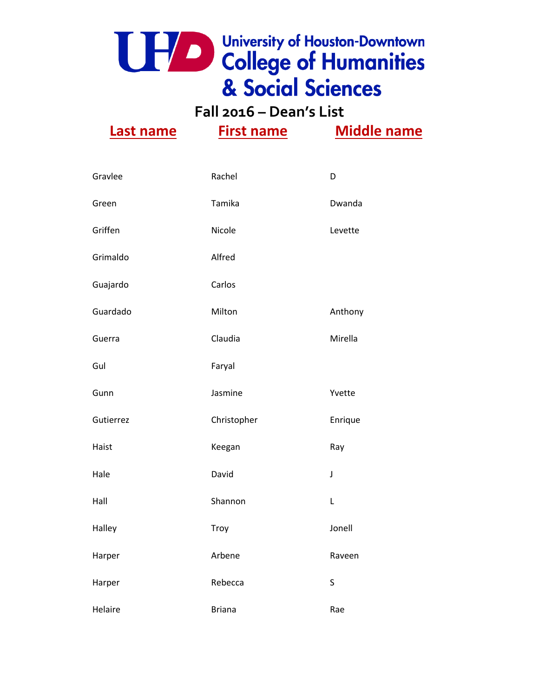**Fall 2016 – Dean's List**

| Gravlee   | Rachel        | D       |
|-----------|---------------|---------|
| Green     | Tamika        | Dwanda  |
| Griffen   | Nicole        | Levette |
| Grimaldo  | Alfred        |         |
| Guajardo  | Carlos        |         |
| Guardado  | Milton        | Anthony |
| Guerra    | Claudia       | Mirella |
| Gul       | Faryal        |         |
| Gunn      | Jasmine       | Yvette  |
| Gutierrez | Christopher   | Enrique |
| Haist     | Keegan        | Ray     |
| Hale      | David         | J       |
| Hall      | Shannon       | L       |
| Halley    | Troy          | Jonell  |
| Harper    | Arbene        | Raveen  |
| Harper    | Rebecca       | S       |
| Helaire   | <b>Briana</b> | Rae     |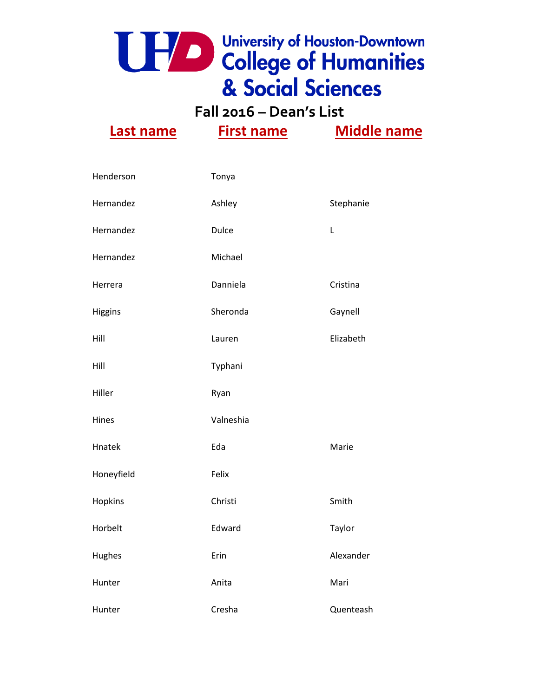

**Fall 2016 – Dean's List**

| Henderson  | Tonya        |           |
|------------|--------------|-----------|
| Hernandez  | Ashley       | Stephanie |
| Hernandez  | <b>Dulce</b> | L         |
| Hernandez  | Michael      |           |
| Herrera    | Danniela     | Cristina  |
| Higgins    | Sheronda     | Gaynell   |
| Hill       | Lauren       | Elizabeth |
| Hill       | Typhani      |           |
| Hiller     | Ryan         |           |
| Hines      | Valneshia    |           |
| Hnatek     | Eda          | Marie     |
| Honeyfield | Felix        |           |
| Hopkins    | Christi      | Smith     |
| Horbelt    | Edward       | Taylor    |
| Hughes     | Erin         | Alexander |
| Hunter     | Anita        | Mari      |
| Hunter     | Cresha       | Quenteash |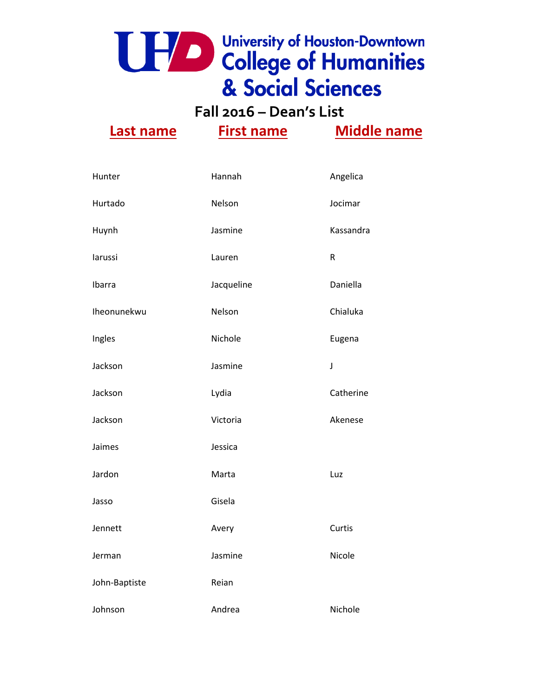**Fall 2016 – Dean's List**

| Hunter        | Hannah     | Angelica                                                                                                                                                                                                                                                                                                                                                                                                                                                                                              |
|---------------|------------|-------------------------------------------------------------------------------------------------------------------------------------------------------------------------------------------------------------------------------------------------------------------------------------------------------------------------------------------------------------------------------------------------------------------------------------------------------------------------------------------------------|
| Hurtado       | Nelson     | Jocimar                                                                                                                                                                                                                                                                                                                                                                                                                                                                                               |
| Huynh         | Jasmine    | Kassandra                                                                                                                                                                                                                                                                                                                                                                                                                                                                                             |
| larussi       | Lauren     | $\mathsf R$                                                                                                                                                                                                                                                                                                                                                                                                                                                                                           |
| Ibarra        | Jacqueline | Daniella                                                                                                                                                                                                                                                                                                                                                                                                                                                                                              |
| Iheonunekwu   | Nelson     | Chialuka                                                                                                                                                                                                                                                                                                                                                                                                                                                                                              |
| Ingles        | Nichole    | Eugena                                                                                                                                                                                                                                                                                                                                                                                                                                                                                                |
| Jackson       | Jasmine    | $\textbf{\textit{j}}% \hspace{1em}\textit{j}_{\text{max}}\hspace{1em}\textit{j}_{\text{max}}\hspace{1em}\textit{j}_{\text{max}}\hspace{1em}\textit{j}_{\text{max}}\hspace{1em}\textit{j}_{\text{max}}\hspace{1em}\textit{j}_{\text{max}}\hspace{1em}\textit{j}_{\text{max}}\hspace{1em}\textit{j}_{\text{max}}\hspace{1em}\textit{j}_{\text{max}}\hspace{1em}\textit{j}_{\text{max}}\hspace{1em}\textit{j}_{\text{max}}\hspace{1em}\textit{j}_{\text{max}}\hspace{1em}\textit{j}_{\text{max}}\hspace$ |
| Jackson       | Lydia      | Catherine                                                                                                                                                                                                                                                                                                                                                                                                                                                                                             |
| Jackson       | Victoria   | Akenese                                                                                                                                                                                                                                                                                                                                                                                                                                                                                               |
| Jaimes        | Jessica    |                                                                                                                                                                                                                                                                                                                                                                                                                                                                                                       |
| Jardon        | Marta      | Luz                                                                                                                                                                                                                                                                                                                                                                                                                                                                                                   |
| Jasso         | Gisela     |                                                                                                                                                                                                                                                                                                                                                                                                                                                                                                       |
| Jennett       | Avery      | Curtis                                                                                                                                                                                                                                                                                                                                                                                                                                                                                                |
| Jerman        | Jasmine    | Nicole                                                                                                                                                                                                                                                                                                                                                                                                                                                                                                |
| John-Baptiste | Reian      |                                                                                                                                                                                                                                                                                                                                                                                                                                                                                                       |
| Johnson       | Andrea     | Nichole                                                                                                                                                                                                                                                                                                                                                                                                                                                                                               |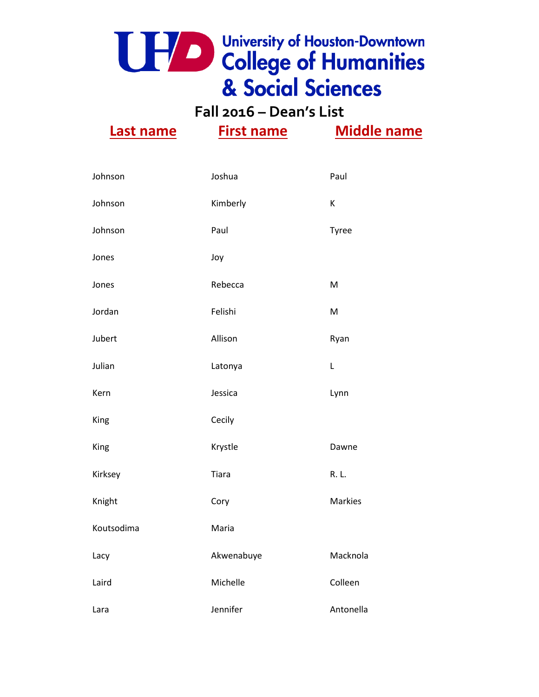**Fall 2016 – Dean's List**

| Johnson    | Joshua     | Paul           |
|------------|------------|----------------|
| Johnson    | Kimberly   | Κ              |
| Johnson    | Paul       | Tyree          |
| Jones      | Joy        |                |
| Jones      | Rebecca    | M              |
| Jordan     | Felishi    | M              |
| Jubert     | Allison    | Ryan           |
| Julian     | Latonya    | L              |
| Kern       | Jessica    | Lynn           |
| King       | Cecily     |                |
| King       | Krystle    | Dawne          |
| Kirksey    | Tiara      | R. L.          |
| Knight     | Cory       | <b>Markies</b> |
| Koutsodima | Maria      |                |
| Lacy       | Akwenabuye | Macknola       |
| Laird      | Michelle   | Colleen        |
| Lara       | Jennifer   | Antonella      |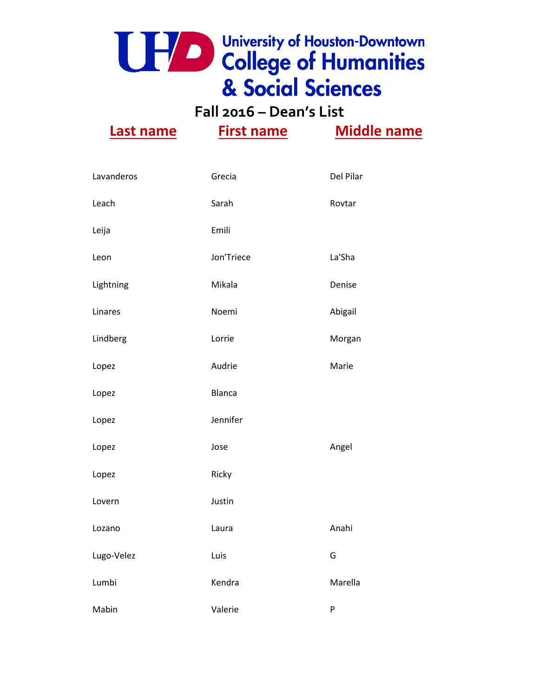**Fall 2016 – Dean's List**

| Lavanderos | Grecia        | Del Pilar |
|------------|---------------|-----------|
| Leach      | Sarah         | Rovtar    |
| Leija      | Emili         |           |
| Leon       | Jon'Triece    | La'Sha    |
| Lightning  | Mikala        | Denise    |
| Linares    | Noemi         | Abigail   |
| Lindberg   | Lorrie        | Morgan    |
| Lopez      | Audrie        | Marie     |
| Lopez      | <b>Blanca</b> |           |
| Lopez      | Jennifer      |           |
| Lopez      | Jose          | Angel     |
| Lopez      | Ricky         |           |
| Lovern     | Justin        |           |
| Lozano     | Laura         | Anahi     |
| Lugo-Velez | Luis          | G         |
| Lumbi      | Kendra        | Marella   |
| Mabin      | Valerie       | P         |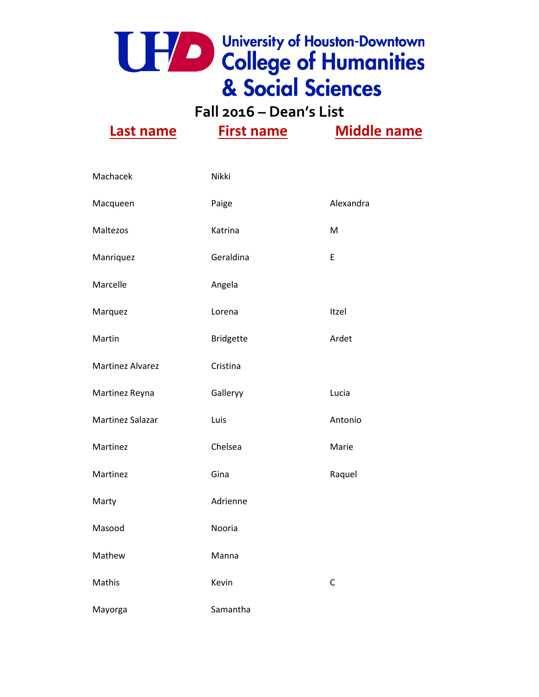**Fall 2016 – Dean's List**

| Machacek                | Nikki            |              |
|-------------------------|------------------|--------------|
| Macqueen                | Paige            | Alexandra    |
| Maltezos                | Katrina          | M            |
| Manriquez               | Geraldina        | E            |
| Marcelle                | Angela           |              |
| Marquez                 | Lorena           | Itzel        |
| Martin                  | <b>Bridgette</b> | Ardet        |
| <b>Martinez Alvarez</b> | Cristina         |              |
| Martinez Reyna          | Galleryy         | Lucia        |
| Martinez Salazar        | Luis             | Antonio      |
| Martinez                | Chelsea          | Marie        |
| Martinez                | Gina             | Raquel       |
| Marty                   | Adrienne         |              |
| Masood                  | Nooria           |              |
| Mathew                  | Manna            |              |
| Mathis                  | Kevin            | $\mathsf{C}$ |
| Mayorga                 | Samantha         |              |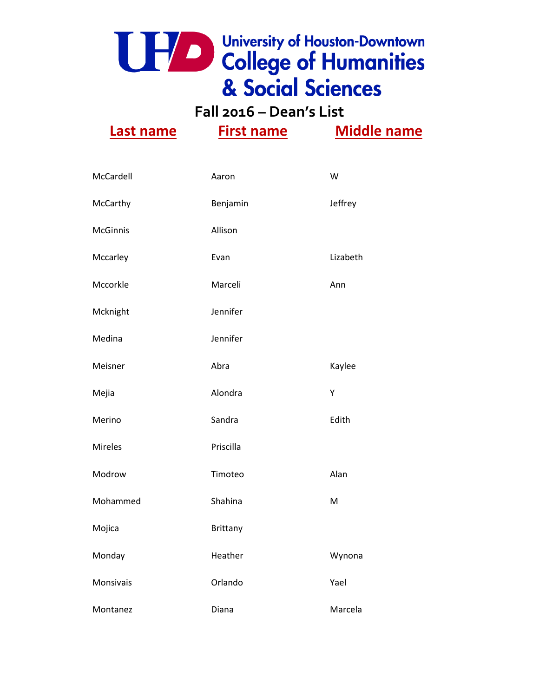**Fall 2016 – Dean's List**

| McCardell       | Aaron           | W        |
|-----------------|-----------------|----------|
| McCarthy        | Benjamin        | Jeffrey  |
| <b>McGinnis</b> | Allison         |          |
| Mccarley        | Evan            | Lizabeth |
| Mccorkle        | Marceli         | Ann      |
| Mcknight        | Jennifer        |          |
| Medina          | Jennifer        |          |
| Meisner         | Abra            | Kaylee   |
| Mejia           | Alondra         | Υ        |
| Merino          | Sandra          | Edith    |
| Mireles         | Priscilla       |          |
| Modrow          | Timoteo         | Alan     |
| Mohammed        | Shahina         | M        |
| Mojica          | <b>Brittany</b> |          |
| Monday          | Heather         | Wynona   |
| Monsivais       | Orlando         | Yael     |
| Montanez        | Diana           | Marcela  |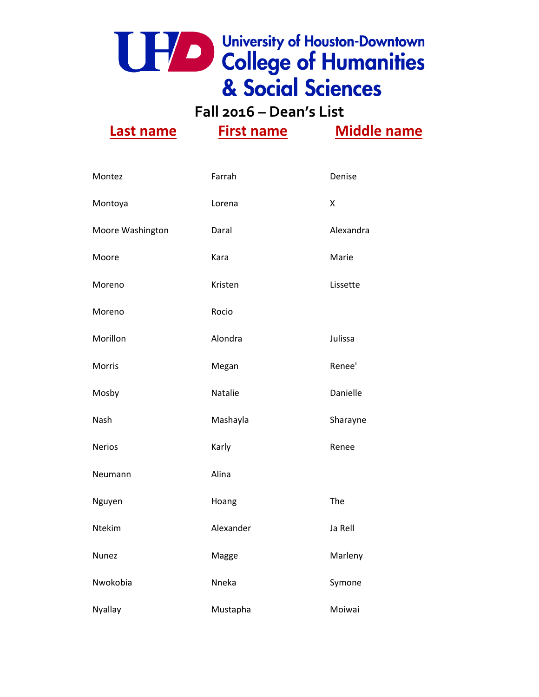**Fall 2016 – Dean's List**

| Montez           | Farrah    | Denise    |
|------------------|-----------|-----------|
| Montoya          | Lorena    | Χ         |
| Moore Washington | Daral     | Alexandra |
| Moore            | Kara      | Marie     |
| Moreno           | Kristen   | Lissette  |
| Moreno           | Rocio     |           |
| Morillon         | Alondra   | Julissa   |
| Morris           | Megan     | Renee'    |
| Mosby            | Natalie   | Danielle  |
| Nash             | Mashayla  | Sharayne  |
| <b>Nerios</b>    | Karly     | Renee     |
| Neumann          | Alina     |           |
| Nguyen           | Hoang     | The       |
| Ntekim           | Alexander | Ja Rell   |
| Nunez            | Magge     | Marleny   |
| Nwokobia         | Nneka     | Symone    |
| <b>Nyallay</b>   | Mustapha  | Moiwai    |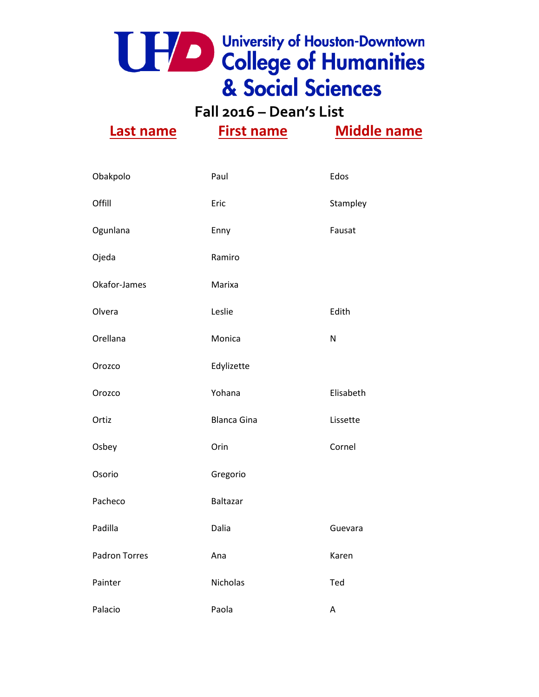**Fall 2016 – Dean's List**

| Obakpolo             | Paul               | Edos      |
|----------------------|--------------------|-----------|
| Offill               | Eric               | Stampley  |
| Ogunlana             | Enny               | Fausat    |
| Ojeda                | Ramiro             |           |
| Okafor-James         | Marixa             |           |
| Olvera               | Leslie             | Edith     |
| Orellana             | Monica             | ${\sf N}$ |
| Orozco               | Edylizette         |           |
| Orozco               | Yohana             | Elisabeth |
| Ortiz                | <b>Blanca Gina</b> | Lissette  |
| Osbey                | Orin               | Cornel    |
| Osorio               | Gregorio           |           |
| Pacheco              | Baltazar           |           |
| Padilla              | Dalia              | Guevara   |
| <b>Padron Torres</b> | Ana                | Karen     |
| Painter              | Nicholas           | Ted       |
| Palacio              | Paola              | A         |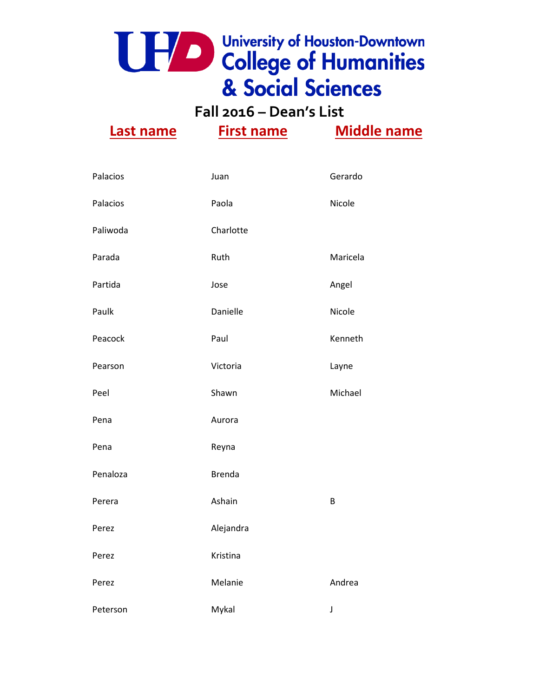**Fall 2016 – Dean's List**

| Palacios | Juan          | Gerardo  |
|----------|---------------|----------|
| Palacios | Paola         | Nicole   |
| Paliwoda | Charlotte     |          |
| Parada   | Ruth          | Maricela |
| Partida  | Jose          | Angel    |
| Paulk    | Danielle      | Nicole   |
| Peacock  | Paul          | Kenneth  |
| Pearson  | Victoria      | Layne    |
| Peel     | Shawn         | Michael  |
| Pena     | Aurora        |          |
| Pena     | Reyna         |          |
| Penaloza | <b>Brenda</b> |          |
| Perera   | Ashain        | B        |
| Perez    | Alejandra     |          |
| Perez    | Kristina      |          |
| Perez    | Melanie       | Andrea   |
| Peterson | Mykal         | J        |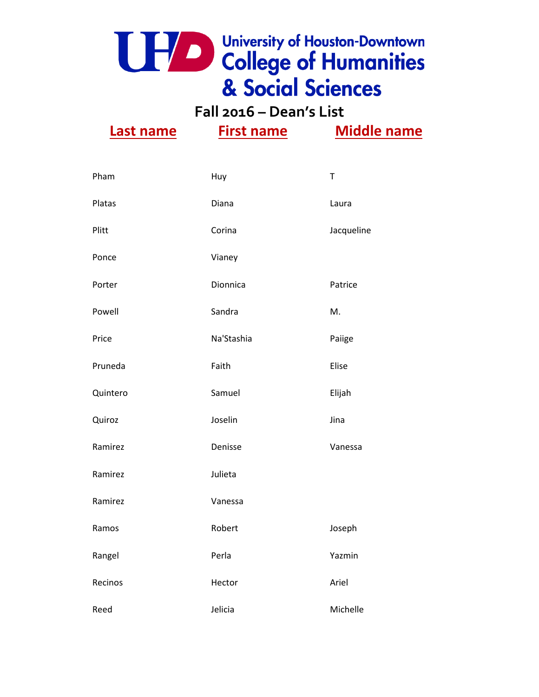**Fall 2016 – Dean's List**

| Pham     | Huy        | $\top$     |
|----------|------------|------------|
| Platas   | Diana      | Laura      |
| Plitt    | Corina     | Jacqueline |
| Ponce    | Vianey     |            |
| Porter   | Dionnica   | Patrice    |
| Powell   | Sandra     | M.         |
| Price    | Na'Stashia | Paiige     |
| Pruneda  | Faith      | Elise      |
| Quintero | Samuel     | Elijah     |
| Quiroz   | Joselin    | Jina       |
| Ramirez  | Denisse    | Vanessa    |
| Ramirez  | Julieta    |            |
| Ramirez  | Vanessa    |            |
| Ramos    | Robert     | Joseph     |
| Rangel   | Perla      | Yazmin     |
| Recinos  | Hector     | Ariel      |
| Reed     | Jelicia    | Michelle   |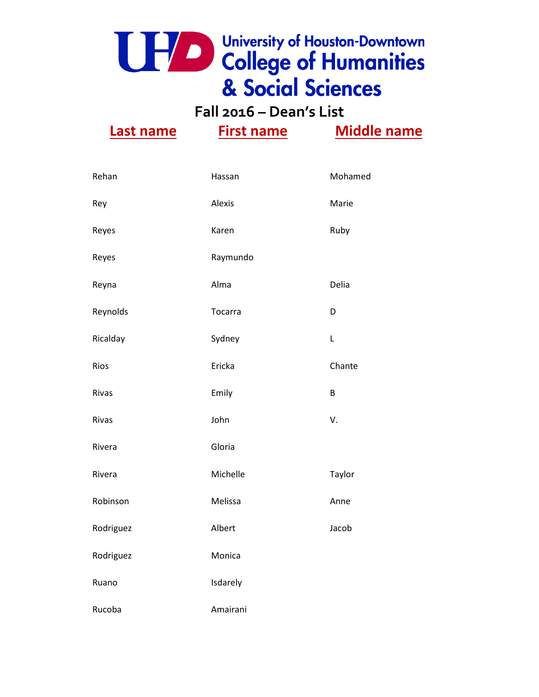**Fall 2016 – Dean's List**

| Rehan     | Hassan   | Mohamed |
|-----------|----------|---------|
| Rey       | Alexis   | Marie   |
| Reyes     | Karen    | Ruby    |
| Reyes     | Raymundo |         |
| Reyna     | Alma     | Delia   |
| Reynolds  | Tocarra  | D       |
| Ricalday  | Sydney   | L       |
| Rios      | Ericka   | Chante  |
| Rivas     | Emily    | B       |
| Rivas     | John     | V.      |
| Rivera    | Gloria   |         |
| Rivera    | Michelle | Taylor  |
| Robinson  | Melissa  | Anne    |
| Rodriguez | Albert   | Jacob   |
| Rodriguez | Monica   |         |
| Ruano     | Isdarely |         |
| Rucoba    | Amairani |         |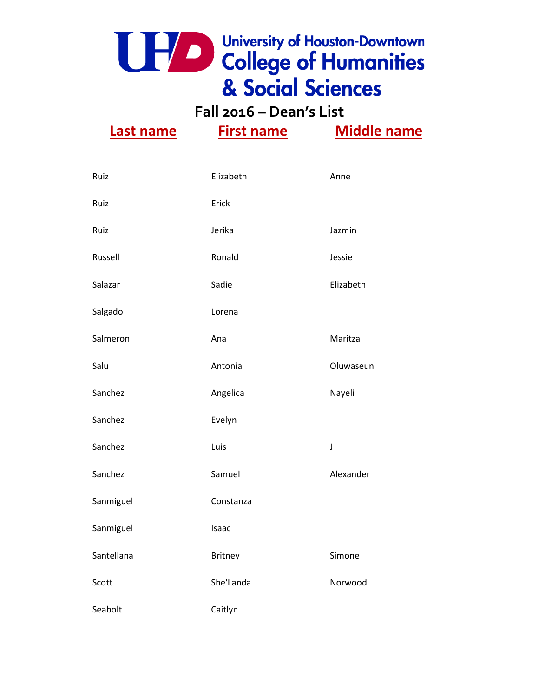

**Fall 2016 – Dean's List**

| Ruiz       | Elizabeth      | Anne        |
|------------|----------------|-------------|
| Ruiz       | Erick          |             |
| Ruiz       | Jerika         | Jazmin      |
| Russell    | Ronald         | Jessie      |
| Salazar    | Sadie          | Elizabeth   |
| Salgado    | Lorena         |             |
| Salmeron   | Ana            | Maritza     |
| Salu       | Antonia        | Oluwaseun   |
| Sanchez    | Angelica       | Nayeli      |
| Sanchez    | Evelyn         |             |
| Sanchez    | Luis           | $\mathsf J$ |
| Sanchez    | Samuel         | Alexander   |
| Sanmiguel  | Constanza      |             |
| Sanmiguel  | Isaac          |             |
| Santellana | <b>Britney</b> | Simone      |
| Scott      | She'Landa      | Norwood     |
| Seabolt    | Caitlyn        |             |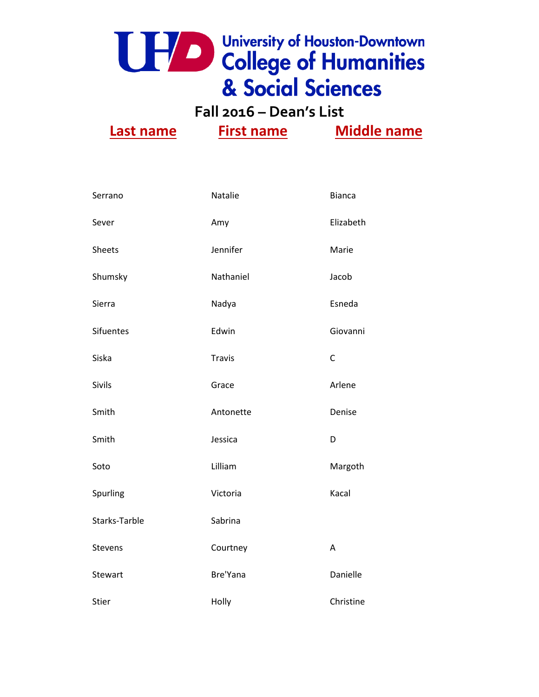

**Fall 2016 – Dean's List**

| Serrano          | Natalie       | <b>Bianca</b> |
|------------------|---------------|---------------|
| Sever            | Amy           | Elizabeth     |
| <b>Sheets</b>    | Jennifer      | Marie         |
| Shumsky          | Nathaniel     | Jacob         |
| Sierra           | Nadya         | Esneda        |
| <b>Sifuentes</b> | Edwin         | Giovanni      |
| Siska            | <b>Travis</b> | $\mathsf{C}$  |
| Sivils           | Grace         | Arlene        |
| Smith            | Antonette     | Denise        |
| Smith            | Jessica       | D             |
| Soto             | Lilliam       | Margoth       |
| Spurling         | Victoria      | Kacal         |
| Starks-Tarble    | Sabrina       |               |
| Stevens          | Courtney      | A             |
| Stewart          | Bre'Yana      | Danielle      |
| <b>Stier</b>     | Holly         | Christine     |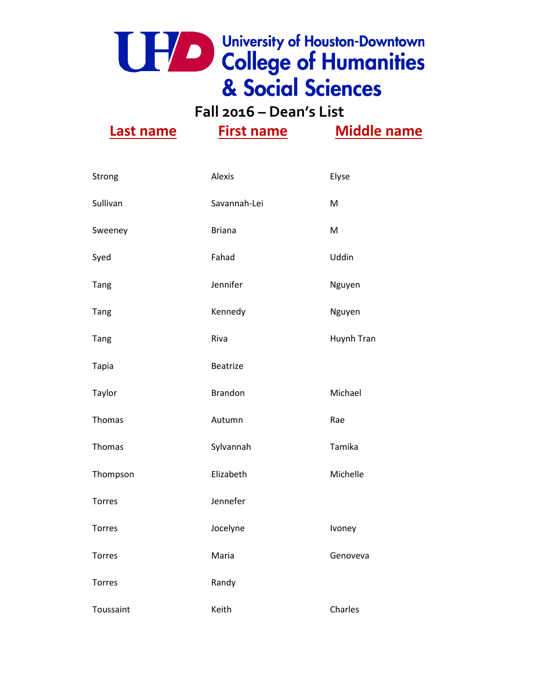**Fall 2016 – Dean's List**

| Strong        | Alexis          | Elyse             |
|---------------|-----------------|-------------------|
| Sullivan      | Savannah-Lei    | M                 |
| Sweeney       | <b>Briana</b>   | M                 |
| Syed          | Fahad           | Uddin             |
| <b>Tang</b>   | Jennifer        | Nguyen            |
| Tang          | Kennedy         | Nguyen            |
| Tang          | Riva            | <b>Huynh Tran</b> |
| <b>Tapia</b>  | <b>Beatrize</b> |                   |
| Taylor        | <b>Brandon</b>  | Michael           |
| Thomas        | Autumn          | Rae               |
| Thomas        | Sylvannah       | Tamika            |
| Thompson      | Elizabeth       | Michelle          |
| <b>Torres</b> | Jennefer        |                   |
| Torres        | Jocelyne        | Ivoney            |
| <b>Torres</b> | Maria           | Genoveva          |
| <b>Torres</b> | Randy           |                   |
| Toussaint     | Keith           | Charles           |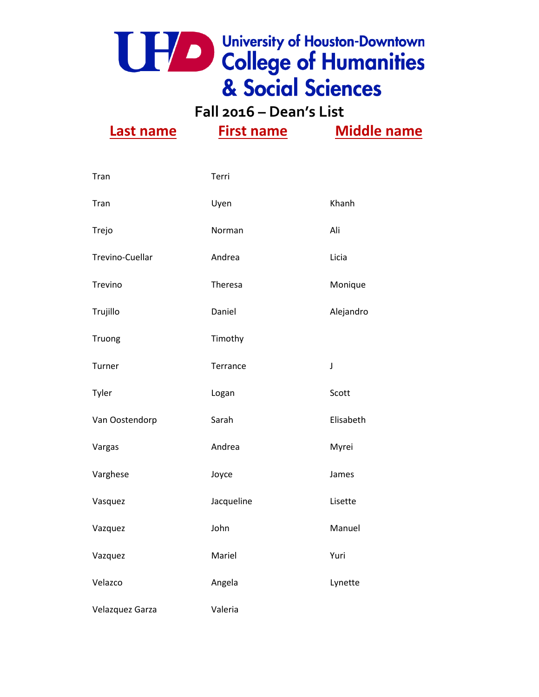**Fall 2016 – Dean's List Last name First name Middle name**

| Tran            | Terri      |             |
|-----------------|------------|-------------|
| Tran            | Uyen       | Khanh       |
| Trejo           | Norman     | Ali         |
| Trevino-Cuellar | Andrea     | Licia       |
| Trevino         | Theresa    | Monique     |
| Trujillo        | Daniel     | Alejandro   |
| Truong          | Timothy    |             |
| Turner          | Terrance   | $\mathsf J$ |
| Tyler           | Logan      | Scott       |
| Van Oostendorp  | Sarah      | Elisabeth   |
| Vargas          | Andrea     | Myrei       |
| Varghese        | Joyce      | James       |
| Vasquez         | Jacqueline | Lisette     |
| Vazquez         | John       | Manuel      |
| Vazquez         | Mariel     | Yuri        |
| Velazco         | Angela     | Lynette     |
| Velazquez Garza | Valeria    |             |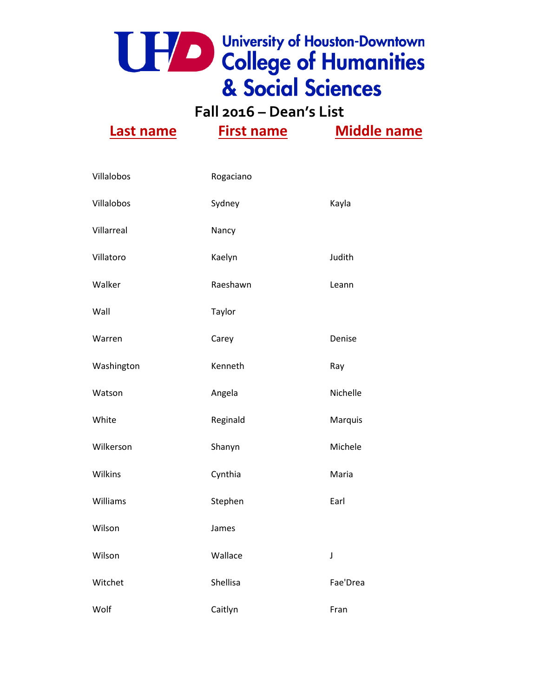

**Fall 2016 – Dean's List**

| Villalobos | Rogaciano |             |
|------------|-----------|-------------|
| Villalobos | Sydney    | Kayla       |
| Villarreal | Nancy     |             |
| Villatoro  | Kaelyn    | Judith      |
| Walker     | Raeshawn  | Leann       |
| Wall       | Taylor    |             |
| Warren     | Carey     | Denise      |
| Washington | Kenneth   | Ray         |
| Watson     | Angela    | Nichelle    |
| White      | Reginald  | Marquis     |
| Wilkerson  | Shanyn    | Michele     |
| Wilkins    | Cynthia   | Maria       |
| Williams   | Stephen   | Earl        |
| Wilson     | James     |             |
| Wilson     | Wallace   | $\mathsf J$ |
| Witchet    | Shellisa  | Fae'Drea    |
| Wolf       | Caitlyn   | Fran        |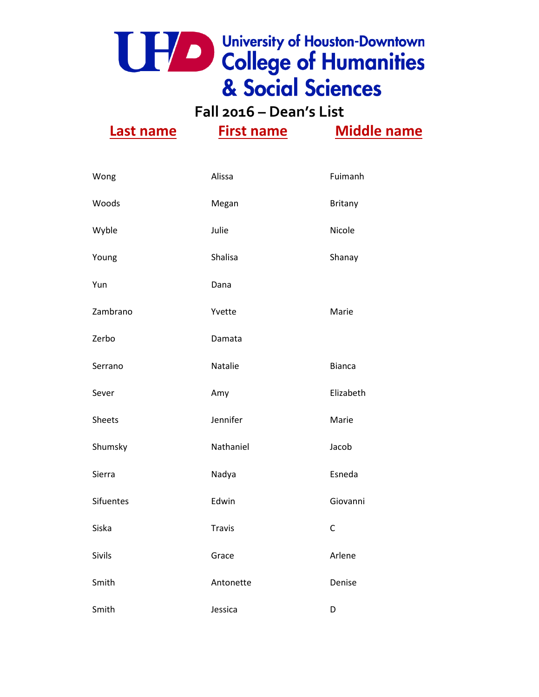**Fall 2016 – Dean's List**

| Wong             | Alissa        | Fuimanh       |
|------------------|---------------|---------------|
| Woods            | Megan         | Britany       |
| Wyble            | Julie         | Nicole        |
| Young            | Shalisa       | Shanay        |
| Yun              | Dana          |               |
| Zambrano         | Yvette        | Marie         |
| Zerbo            | Damata        |               |
| Serrano          | Natalie       | <b>Bianca</b> |
| Sever            | Amy           | Elizabeth     |
| <b>Sheets</b>    | Jennifer      | Marie         |
| Shumsky          | Nathaniel     | Jacob         |
| Sierra           | Nadya         | Esneda        |
| <b>Sifuentes</b> | Edwin         | Giovanni      |
| Siska            | <b>Travis</b> | $\mathsf{C}$  |
| Sivils           | Grace         | Arlene        |
| Smith            | Antonette     | Denise        |
| Smith            | Jessica       | D             |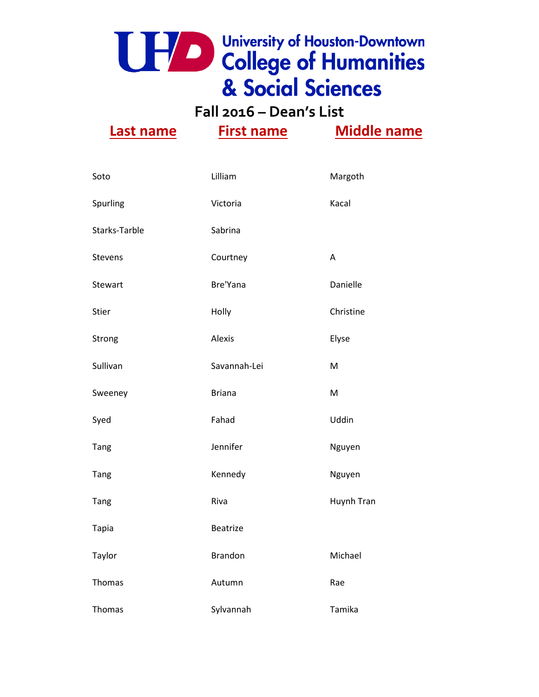**Fall 2016 – Dean's List**

| Soto          | Lilliam        | Margoth    |
|---------------|----------------|------------|
| Spurling      | Victoria       | Kacal      |
| Starks-Tarble | Sabrina        |            |
| Stevens       | Courtney       | A          |
| Stewart       | Bre'Yana       | Danielle   |
| <b>Stier</b>  | Holly          | Christine  |
| Strong        | Alexis         | Elyse      |
| Sullivan      | Savannah-Lei   | M          |
| Sweeney       | <b>Briana</b>  | M          |
| Syed          | Fahad          | Uddin      |
| <b>Tang</b>   | Jennifer       | Nguyen     |
| Tang          | Kennedy        | Nguyen     |
| Tang          | Riva           | Huynh Tran |
| <b>Tapia</b>  | Beatrize       |            |
| Taylor        | <b>Brandon</b> | Michael    |
| Thomas        | Autumn         | Rae        |
| Thomas        | Sylvannah      | Tamika     |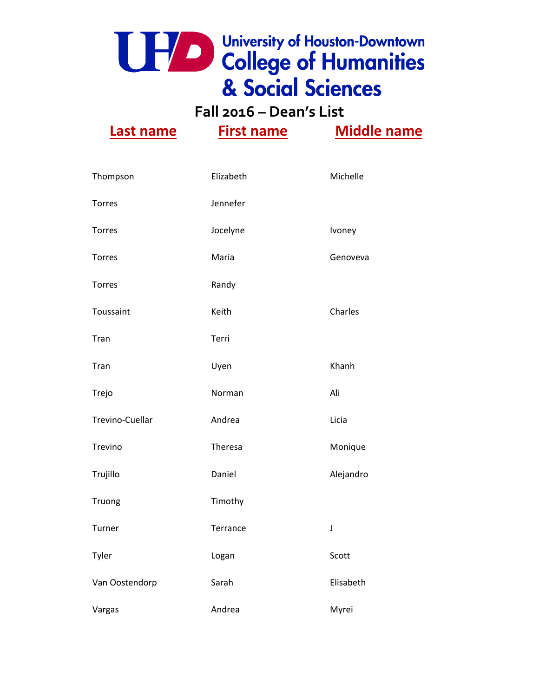**Fall 2016 – Dean's List**

| Thompson        | Elizabeth | Michelle  |
|-----------------|-----------|-----------|
| <b>Torres</b>   | Jennefer  |           |
| <b>Torres</b>   | Jocelyne  | Ivoney    |
| <b>Torres</b>   | Maria     | Genoveva  |
| <b>Torres</b>   | Randy     |           |
| Toussaint       | Keith     | Charles   |
| Tran            | Terri     |           |
| Tran            | Uyen      | Khanh     |
| Trejo           | Norman    | Ali       |
| Trevino-Cuellar | Andrea    | Licia     |
| Trevino         | Theresa   | Monique   |
| Trujillo        | Daniel    | Alejandro |
| Truong          | Timothy   |           |
| Turner          | Terrance  | J         |
| Tyler           | Logan     | Scott     |
| Van Oostendorp  | Sarah     | Elisabeth |
| Vargas          | Andrea    | Myrei     |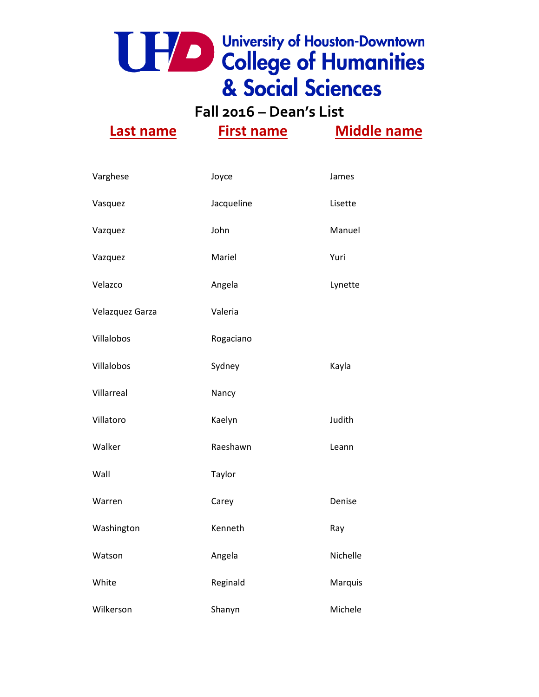**Fall 2016 – Dean's List**

| Varghese        | Joyce      | James    |
|-----------------|------------|----------|
| Vasquez         | Jacqueline | Lisette  |
| Vazquez         | John       | Manuel   |
| Vazquez         | Mariel     | Yuri     |
| Velazco         | Angela     | Lynette  |
| Velazquez Garza | Valeria    |          |
| Villalobos      | Rogaciano  |          |
| Villalobos      | Sydney     | Kayla    |
| Villarreal      | Nancy      |          |
| Villatoro       | Kaelyn     | Judith   |
| Walker          | Raeshawn   | Leann    |
| Wall            | Taylor     |          |
| Warren          | Carey      | Denise   |
| Washington      | Kenneth    | Ray      |
| Watson          | Angela     | Nichelle |
| White           | Reginald   | Marquis  |
| Wilkerson       | Shanyn     | Michele  |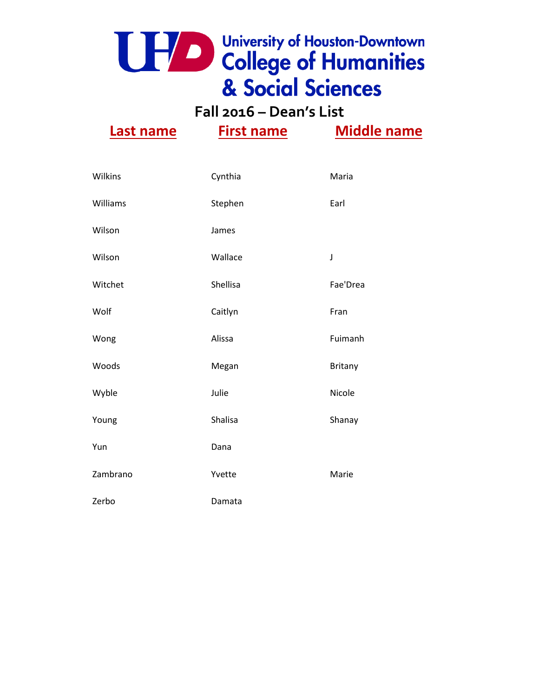**Fall 2016 – Dean's List**

| Wilkins  | Cynthia  | Maria    |
|----------|----------|----------|
| Williams | Stephen  | Earl     |
| Wilson   | James    |          |
| Wilson   | Wallace  | J        |
| Witchet  | Shellisa | Fae'Drea |
| Wolf     | Caitlyn  | Fran     |
| Wong     | Alissa   | Fuimanh  |
| Woods    | Megan    | Britany  |
| Wyble    | Julie    | Nicole   |
| Young    | Shalisa  | Shanay   |
| Yun      | Dana     |          |
| Zambrano | Yvette   | Marie    |
| Zerbo    | Damata   |          |